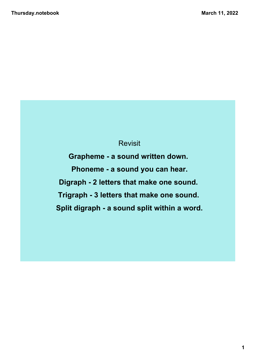#### Revisit

**Grapheme - a sound written down. Phoneme a sound you can hear. Digraph 2 letters that make one sound. Trigraph 3 letters that make one sound.**  Split digraph - a sound split within a word.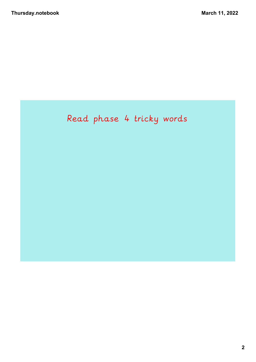#### Read phase 4 tricky words

**2**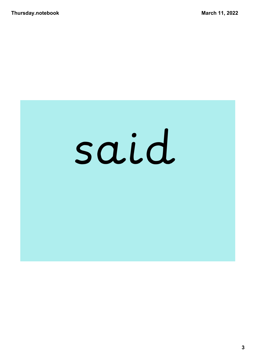### said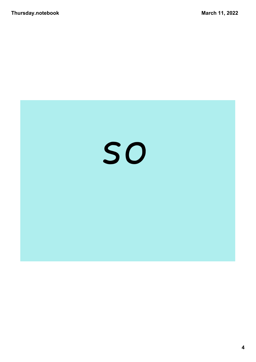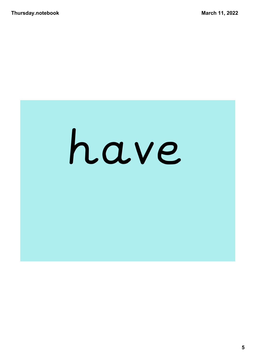### have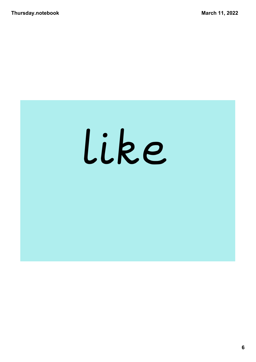### Like.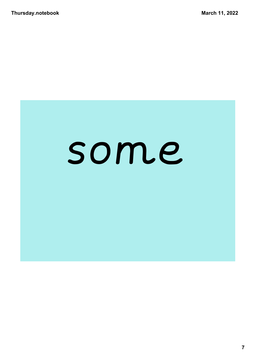#### some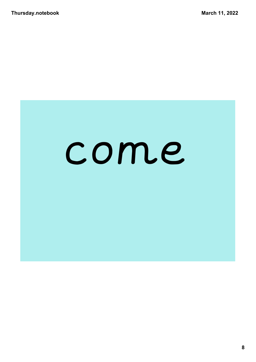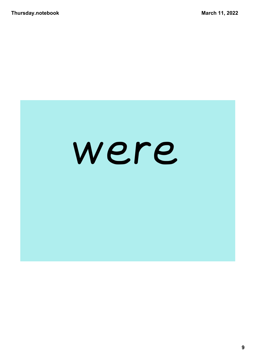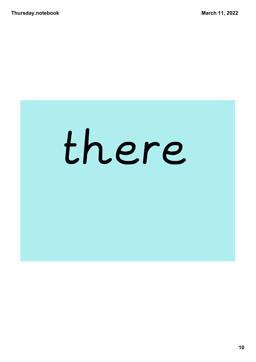### there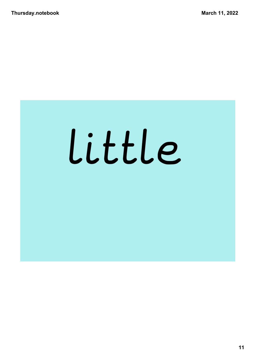### Little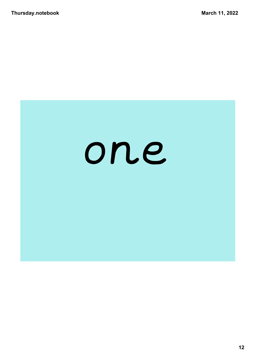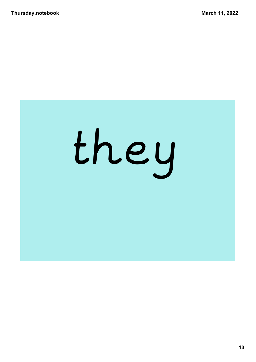## they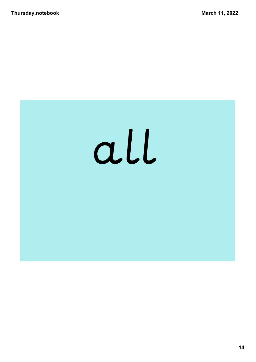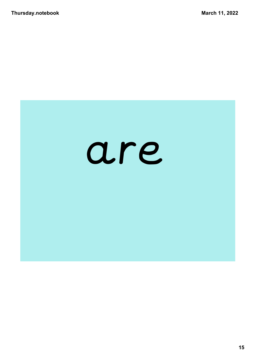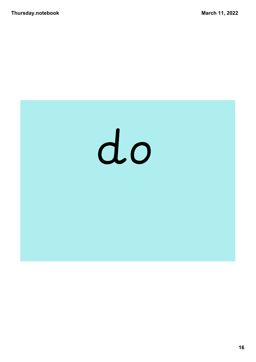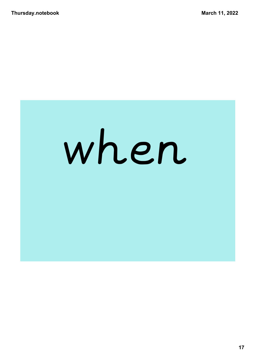### when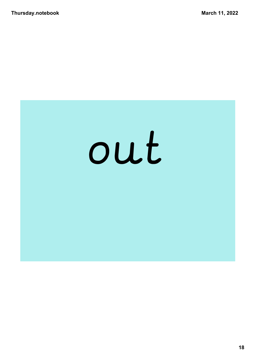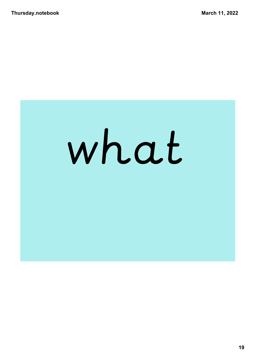### what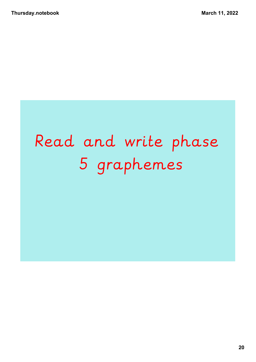#### Read and write phase 5 graphemes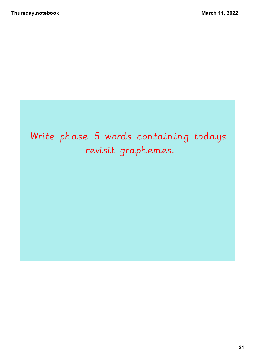#### Write phase 5 words containing todays revisit graphemes.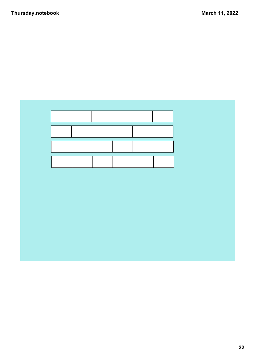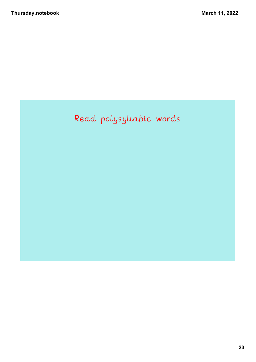#### Read polysyllabic words

**23**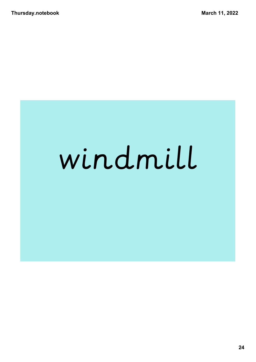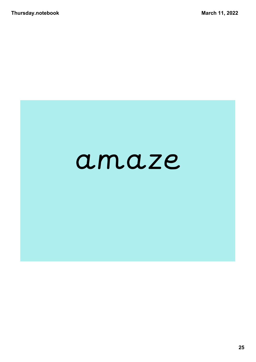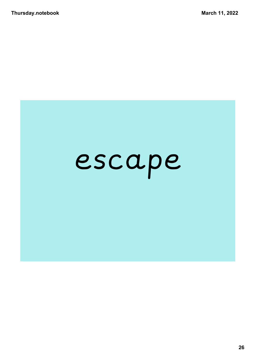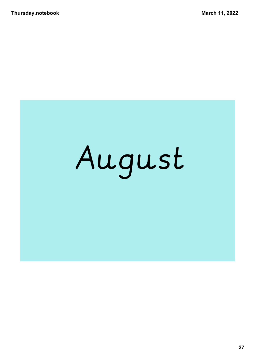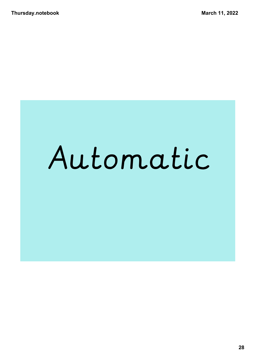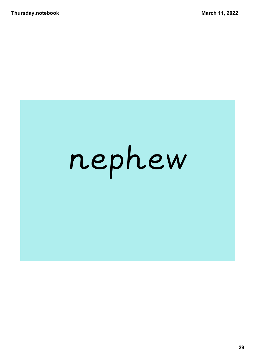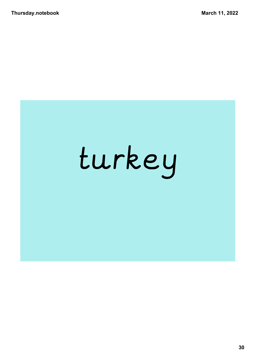# turkey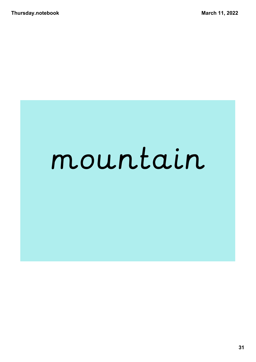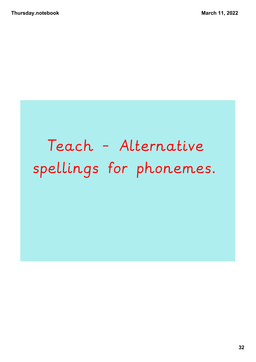#### Teach - Alternative spellings for phonemes.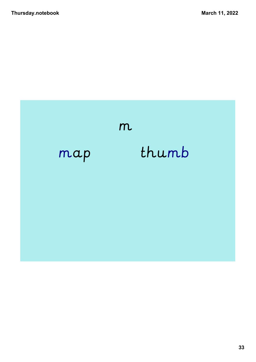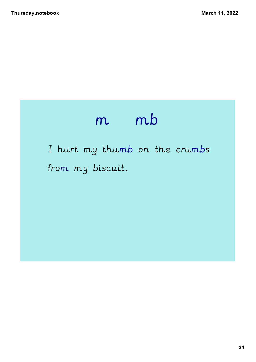#### m mb

I hurt my thumb on the crumbs from my biscuit.